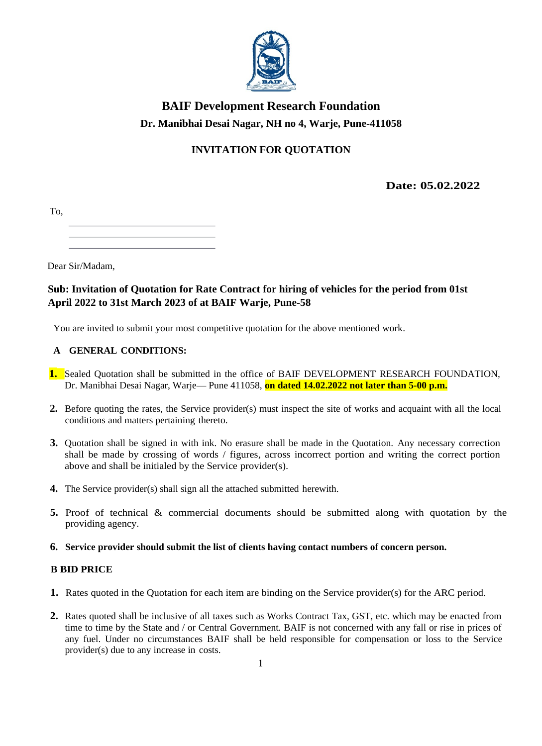

# **BAIF Development Research Foundation** Dr. Manibhai Desai Nagar, NH no 4, Warje, Pune-411058

# **INVITATION FOR QUOTATION**

Date: 05.02.2022

Dear Sir/Madam.

## Sub: Invitation of Quotation for Rate Contract for hiring of vehicles for the period from 01st April 2022 to 31st March 2023 of at BAIF Warje, Pune-58

You are invited to submit your most competitive quotation for the above mentioned work.

### A GENERAL CONDITIONS:

- 1. Sealed Quotation shall be submitted in the office of BAIF DEVELOPMENT RESEARCH FOUNDATION, Dr. Manibhai Desai Nagar, Warje— Pune 411058, on dated 14.02.2022 not later than 5-00 p.m.
- 2. Before quoting the rates, the Service provider(s) must inspect the site of works and acquaint with all the local conditions and matters pertaining thereto.
- 3. Quotation shall be signed in with ink. No erasure shall be made in the Quotation. Any necessary correction shall be made by crossing of words / figures, across incorrect portion and writing the correct portion above and shall be initialed by the Service provider(s).
- **4.** The Service provider(s) shall sign all the attached submitted herewith.
- 5. Proof of technical & commercial documents should be submitted along with quotation by the providing agency.
- 6. Service provider should submit the list of clients having contact numbers of concern person.

### **B BID PRICE**

- 1. Rates quoted in the Quotation for each item are binding on the Service provider(s) for the ARC period.
- 2. Rates quoted shall be inclusive of all taxes such as Works Contract Tax, GST, etc. which may be enacted from time to time by the State and / or Central Government. BAIF is not concerned with any fall or rise in prices of any fuel. Under no circumstances BAIF shall be held responsible for compensation or loss to the Service provider(s) due to any increase in costs.